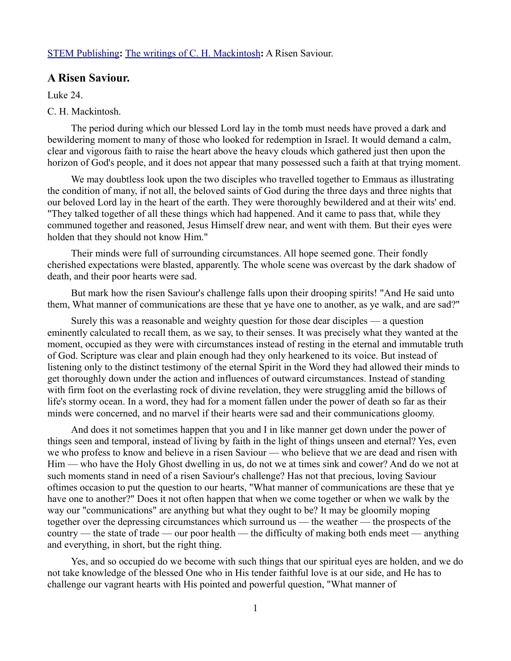## [STEM Publishing](http://www.stempublishing.com/)**:** [The writings of C. H. Mackintosh](http://www.stempublishing.com/authors/mackintosh/index.html)**:** A Risen Saviour.

## **A Risen Saviour.**

Luke 24.

## C. H. Mackintosh.

The period during which our blessed Lord lay in the tomb must needs have proved a dark and bewildering moment to many of those who looked for redemption in Israel. It would demand a calm, clear and vigorous faith to raise the heart above the heavy clouds which gathered just then upon the horizon of God's people, and it does not appear that many possessed such a faith at that trying moment.

We may doubtless look upon the two disciples who travelled together to Emmaus as illustrating the condition of many, if not all, the beloved saints of God during the three days and three nights that our beloved Lord lay in the heart of the earth. They were thoroughly bewildered and at their wits' end. "They talked together of all these things which had happened. And it came to pass that, while they communed together and reasoned, Jesus Himself drew near, and went with them. But their eyes were holden that they should not know Him."

Their minds were full of surrounding circumstances. All hope seemed gone. Their fondly cherished expectations were blasted, apparently. The whole scene was overcast by the dark shadow of death, and their poor hearts were sad.

But mark how the risen Saviour's challenge falls upon their drooping spirits! "And He said unto them, What manner of communications are these that ye have one to another, as ye walk, and are sad?"

Surely this was a reasonable and weighty question for those dear disciples — a question eminently calculated to recall them, as we say, to their senses. It was precisely what they wanted at the moment, occupied as they were with circumstances instead of resting in the eternal and immutable truth of God. Scripture was clear and plain enough had they only hearkened to its voice. But instead of listening only to the distinct testimony of the eternal Spirit in the Word they had allowed their minds to get thoroughly down under the action and influences of outward circumstances. Instead of standing with firm foot on the everlasting rock of divine revelation, they were struggling amid the billows of life's stormy ocean. In a word, they had for a moment fallen under the power of death so far as their minds were concerned, and no marvel if their hearts were sad and their communications gloomy.

And does it not sometimes happen that you and I in like manner get down under the power of things seen and temporal, instead of living by faith in the light of things unseen and eternal? Yes, even we who profess to know and believe in a risen Saviour — who believe that we are dead and risen with Him — who have the Holy Ghost dwelling in us, do not we at times sink and cower? And do we not at such moments stand in need of a risen Saviour's challenge? Has not that precious, loving Saviour oftimes occasion to put the question to our hearts, "What manner of communications are these that ye have one to another?" Does it not often happen that when we come together or when we walk by the way our "communications" are anything but what they ought to be? It may be gloomily moping together over the depressing circumstances which surround us — the weather — the prospects of the country — the state of trade — our poor health — the difficulty of making both ends meet — anything and everything, in short, but the right thing.

Yes, and so occupied do we become with such things that our spiritual eyes are holden, and we do not take knowledge of the blessed One who in His tender faithful love is at our side, and He has to challenge our vagrant hearts with His pointed and powerful question, "What manner of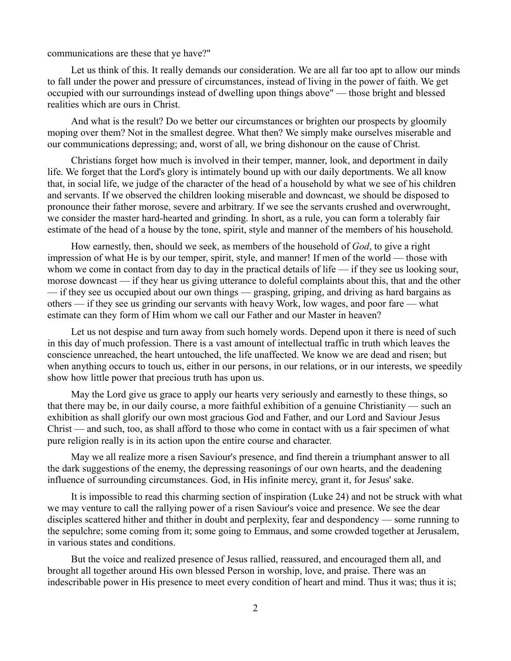communications are these that ye have?"

Let us think of this. It really demands our consideration. We are all far too apt to allow our minds to fall under the power and pressure of circumstances, instead of living in the power of faith. We get occupied with our surroundings instead of dwelling upon things above" — those bright and blessed realities which are ours in Christ.

And what is the result? Do we better our circumstances or brighten our prospects by gloomily moping over them? Not in the smallest degree. What then? We simply make ourselves miserable and our communications depressing; and, worst of all, we bring dishonour on the cause of Christ.

Christians forget how much is involved in their temper, manner, look, and deportment in daily life. We forget that the Lord's glory is intimately bound up with our daily deportments. We all know that, in social life, we judge of the character of the head of a household by what we see of his children and servants. If we observed the children looking miserable and downcast, we should be disposed to pronounce their father morose, severe and arbitrary. If we see the servants crushed and overwrought, we consider the master hard-hearted and grinding. In short, as a rule, you can form a tolerably fair estimate of the head of a house by the tone, spirit, style and manner of the members of his household.

How earnestly, then, should we seek, as members of the household of *God*, to give a right impression of what He is by our temper, spirit, style, and manner! If men of the world — those with whom we come in contact from day to day in the practical details of life — if they see us looking sour, morose downcast — if they hear us giving utterance to doleful complaints about this, that and the other — if they see us occupied about our own things — grasping, griping, and driving as hard bargains as others — if they see us grinding our servants with heavy Work, low wages, and poor fare — what estimate can they form of Him whom we call our Father and our Master in heaven?

Let us not despise and turn away from such homely words. Depend upon it there is need of such in this day of much profession. There is a vast amount of intellectual traffic in truth which leaves the conscience unreached, the heart untouched, the life unaffected. We know we are dead and risen; but when anything occurs to touch us, either in our persons, in our relations, or in our interests, we speedily show how little power that precious truth has upon us.

May the Lord give us grace to apply our hearts very seriously and earnestly to these things, so that there may be, in our daily course, a more faithful exhibition of a genuine Christianity — such an exhibition as shall glorify our own most gracious God and Father, and our Lord and Saviour Jesus Christ — and such, too, as shall afford to those who come in contact with us a fair specimen of what pure religion really is in its action upon the entire course and character.

May we all realize more a risen Saviour's presence, and find therein a triumphant answer to all the dark suggestions of the enemy, the depressing reasonings of our own hearts, and the deadening influence of surrounding circumstances. God, in His infinite mercy, grant it, for Jesus' sake.

It is impossible to read this charming section of inspiration (Luke 24) and not be struck with what we may venture to call the rallying power of a risen Saviour's voice and presence. We see the dear disciples scattered hither and thither in doubt and perplexity, fear and despondency — some running to the sepulchre; some coming from it; some going to Emmaus, and some crowded together at Jerusalem, in various states and conditions.

But the voice and realized presence of Jesus rallied, reassured, and encouraged them all, and brought all together around His own blessed Person in worship, love, and praise. There was an indescribable power in His presence to meet every condition of heart and mind. Thus it was; thus it is;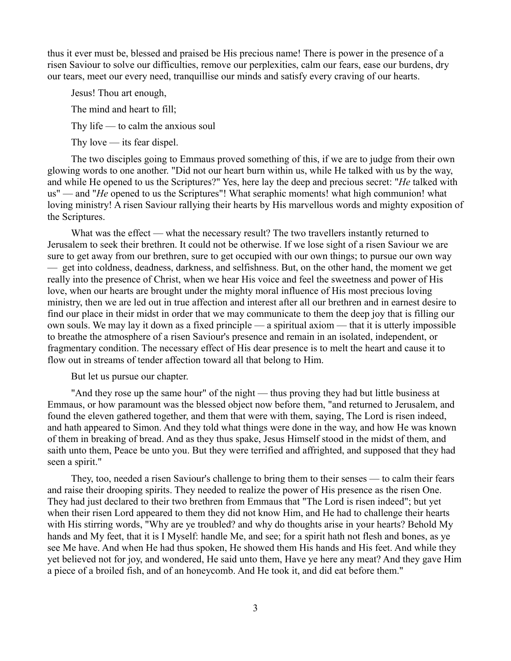thus it ever must be, blessed and praised be His precious name! There is power in the presence of a risen Saviour to solve our difficulties, remove our perplexities, calm our fears, ease our burdens, dry our tears, meet our every need, tranquillise our minds and satisfy every craving of our hearts.

Jesus! Thou art enough,

The mind and heart to fill;

Thy life — to calm the anxious soul

Thy love  $-$  its fear dispel.

The two disciples going to Emmaus proved something of this, if we are to judge from their own glowing words to one another. "Did not our heart burn within us, while He talked with us by the way, and while He opened to us the Scriptures?" Yes, here lay the deep and precious secret: "*He* talked with us" — and "*He* opened to us the Scriptures"! What seraphic moments! what high communion! what loving ministry! A risen Saviour rallying their hearts by His marvellous words and mighty exposition of the Scriptures.

What was the effect — what the necessary result? The two travellers instantly returned to Jerusalem to seek their brethren. It could not be otherwise. If we lose sight of a risen Saviour we are sure to get away from our brethren, sure to get occupied with our own things; to pursue our own way — get into coldness, deadness, darkness, and selfishness. But, on the other hand, the moment we get really into the presence of Christ, when we hear His voice and feel the sweetness and power of His love, when our hearts are brought under the mighty moral influence of His most precious loving ministry, then we are led out in true affection and interest after all our brethren and in earnest desire to find our place in their midst in order that we may communicate to them the deep joy that is filling our own souls. We may lay it down as a fixed principle — a spiritual axiom — that it is utterly impossible to breathe the atmosphere of a risen Saviour's presence and remain in an isolated, independent, or fragmentary condition. The necessary effect of His dear presence is to melt the heart and cause it to flow out in streams of tender affection toward all that belong to Him.

But let us pursue our chapter.

"And they rose up the same hour" of the night — thus proving they had but little business at Emmaus, or how paramount was the blessed object now before them, "and returned to Jerusalem, and found the eleven gathered together, and them that were with them, saying, The Lord is risen indeed, and hath appeared to Simon. And they told what things were done in the way, and how He was known of them in breaking of bread. And as they thus spake, Jesus Himself stood in the midst of them, and saith unto them, Peace be unto you. But they were terrified and affrighted, and supposed that they had seen a spirit."

They, too, needed a risen Saviour's challenge to bring them to their senses — to calm their fears and raise their drooping spirits. They needed to realize the power of His presence as the risen One. They had just declared to their two brethren from Emmaus that "The Lord is risen indeed"; but yet when their risen Lord appeared to them they did not know Him, and He had to challenge their hearts with His stirring words, "Why are ye troubled? and why do thoughts arise in your hearts? Behold My hands and My feet, that it is I Myself: handle Me, and see; for a spirit hath not flesh and bones, as ye see Me have. And when He had thus spoken, He showed them His hands and His feet. And while they yet believed not for joy, and wondered, He said unto them, Have ye here any meat? And they gave Him a piece of a broiled fish, and of an honeycomb. And He took it, and did eat before them."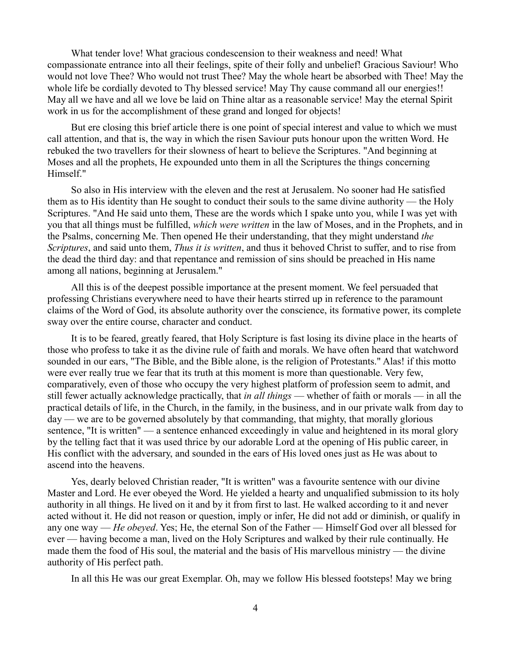What tender love! What gracious condescension to their weakness and need! What compassionate entrance into all their feelings, spite of their folly and unbelief! Gracious Saviour! Who would not love Thee? Who would not trust Thee? May the whole heart be absorbed with Thee! May the whole life be cordially devoted to Thy blessed service! May Thy cause command all our energies!! May all we have and all we love be laid on Thine altar as a reasonable service! May the eternal Spirit work in us for the accomplishment of these grand and longed for objects!

But ere closing this brief article there is one point of special interest and value to which we must call attention, and that is, the way in which the risen Saviour puts honour upon the written Word. He rebuked the two travellers for their slowness of heart to believe the Scriptures. "And beginning at Moses and all the prophets, He expounded unto them in all the Scriptures the things concerning Himself."

So also in His interview with the eleven and the rest at Jerusalem. No sooner had He satisfied them as to His identity than He sought to conduct their souls to the same divine authority — the Holy Scriptures. "And He said unto them, These are the words which I spake unto you, while I was yet with you that all things must be fulfilled, *which were written* in the law of Moses, and in the Prophets, and in the Psalms, concerning Me. Then opened He their understanding, that they might understand *the Scriptures*, and said unto them, *Thus it is written*, and thus it behoved Christ to suffer, and to rise from the dead the third day: and that repentance and remission of sins should be preached in His name among all nations, beginning at Jerusalem."

All this is of the deepest possible importance at the present moment. We feel persuaded that professing Christians everywhere need to have their hearts stirred up in reference to the paramount claims of the Word of God, its absolute authority over the conscience, its formative power, its complete sway over the entire course, character and conduct.

It is to be feared, greatly feared, that Holy Scripture is fast losing its divine place in the hearts of those who profess to take it as the divine rule of faith and morals. We have often heard that watchword sounded in our ears, "The Bible, and the Bible alone, is the religion of Protestants." Alas! if this motto were ever really true we fear that its truth at this moment is more than questionable. Very few, comparatively, even of those who occupy the very highest platform of profession seem to admit, and still fewer actually acknowledge practically, that *in all things* — whether of faith or morals — in all the practical details of life, in the Church, in the family, in the business, and in our private walk from day to day — we are to be governed absolutely by that commanding, that mighty, that morally glorious sentence, "It is written" — a sentence enhanced exceedingly in value and heightened in its moral glory by the telling fact that it was used thrice by our adorable Lord at the opening of His public career, in His conflict with the adversary, and sounded in the ears of His loved ones just as He was about to ascend into the heavens.

Yes, dearly beloved Christian reader, "It is written" was a favourite sentence with our divine Master and Lord. He ever obeyed the Word. He yielded a hearty and unqualified submission to its holy authority in all things. He lived on it and by it from first to last. He walked according to it and never acted without it. He did not reason or question, imply or infer, He did not add or diminish, or qualify in any one way — *He obeyed*. Yes; He, the eternal Son of the Father — Himself God over all blessed for ever — having become a man, lived on the Holy Scriptures and walked by their rule continually. He made them the food of His soul, the material and the basis of His marvellous ministry — the divine authority of His perfect path.

In all this He was our great Exemplar. Oh, may we follow His blessed footsteps! May we bring